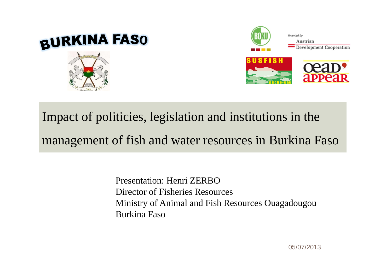



### Impact of politicies, legislation and institutions in the management of fish and water resources in Burkina Faso

Presentation: Henri ZERBODirector of Fisheries Resources Ministry of Animal and Fish Resources Ouagadougou Burkina Faso

05/07/2013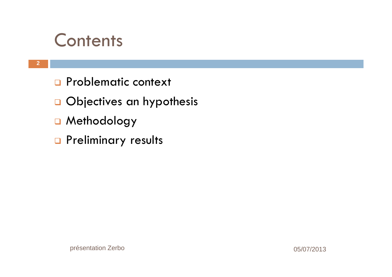### **Contents**

- **Q** Problematic context
- **Q** Objectives an hypothesis
- **a** Methodology
- **Q** Preliminary results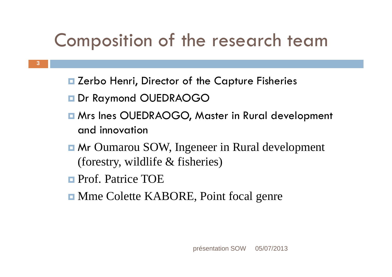### Composition of the research team

- Zerbo Henri, Director of the Capture Fisheries
- Dr Raymond OUEDRAOGO
- **E** Mrs Ines OUEDRAOGO, Master in Rural development and innovation
- **E** Mr Oumarou SOW, Ingeneer in Rural development (forestry, wildlife & fisheries)
- **Prof. Patrice TOE**

**3**

**Nme Colette KABORE, Point focal genre**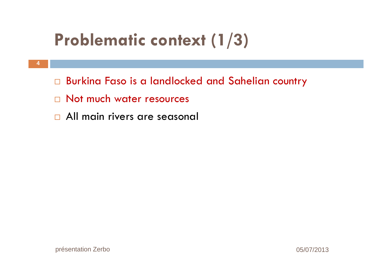## **Problematic context (1/3)**

- **4**
- Burkina Faso is a landlocked and Sahelian country
- $\square$  Not much water resources
- All main rivers are seasonal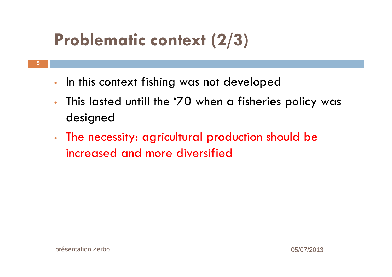## **Problematic context (2/3)**

- •In this context fishing was not developed
- • This lasted untill the '70 when a fisheries policy was designed
- • The necessity: agricultural production should be increased and more diversified

**5**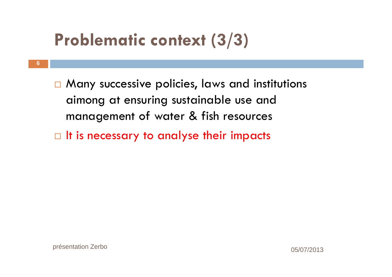### **Problematic context (3/3)**

 $\square$  Many successive policies, laws and institutions aimong at ensuring sustainable use and management of water & fish resources

 $\Box$  It is necessary to analyse their impacts

**6**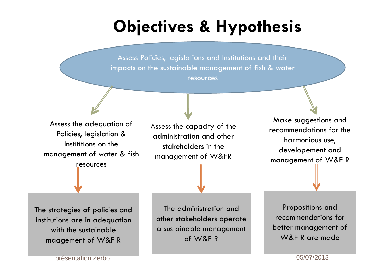### **Objectives & Hypothesis**

Assess Policies, legislations and Institutions and their impacts on the sustainable management of fish & water resources

Assess the adequation of Policies, legislation & Instititions on the management of water & fish

resources

Assess the capacity of the administration and otherstakeholders in the management of W&FR

Make suggestions and recommendations for the harmonious use, developement and management of W&F R

The strategies of policies and institutions are in adequation with the sustainablemaagemen<sup>t</sup> of W&F R

The administration and other stakeholders operate a sustainable managemen<sup>t</sup> of W&F R

Propositions and recommendations for better management of W&F R are made

présentation Zerbo 05/07/2013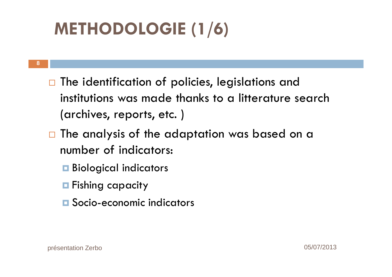## **METHODOLOGIE (1/6)**

- **8**
- $\Box$  The identification of policies, legislations and institutions was made thanks to a litterature search (archives, reports, etc. )
- $\Box$  The analysis of the adaptation was based on a number of indicators:
	- **Biological indicators**
	- **Fishing capacity**
	- **□** Socio-economic indicators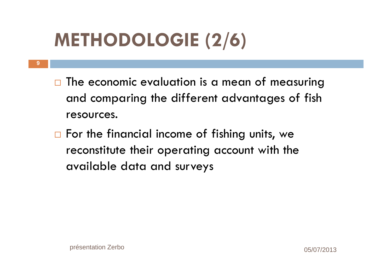# **METHODOLOGIE (2/6)**

- **9**
- $\Box$  The economic evaluation is a mean of measuring and comparing the different advantages of fish resources.
- $\square$  For the financial income of fishing units, we reconstitute their operating account with the available data and surveys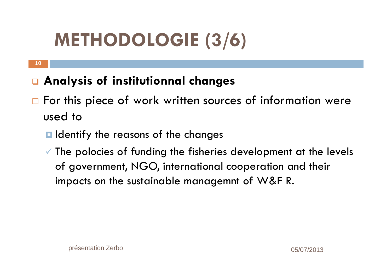# **METHODOLOGIE (3/6)**

#### **10**

#### **Analysis of institutionnal changes**

- $\Box$  For this piece of work written sources of information were used to
	- $\blacksquare$  Identify the reasons of the changes
	- $\checkmark$  The polocies of funding the fisheries development at the levels of government, NGO, international cooperation and their impacts on the sustainable managemnt of W&F R.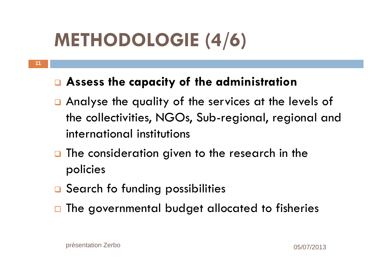# **METHODOLOGIE (4/6)**

#### **Assess the capacity of the administration**

- Analyse the quality of the services at the levels of the collectivities, NGOs, Sub-regional, regional and international institutions
- **Q** The consideration given to the research in the policies
- **Q** Search fo funding possibilities
- $\square$  The governmental budget allocated to fisheries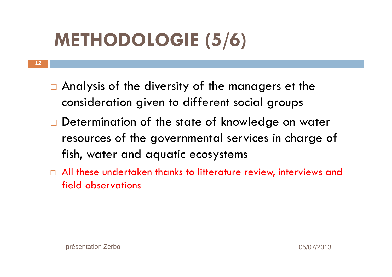# **METHODOLOGIE (5/6)**

- **12**
- □ Analysis of the diversity of the managers et the consideration given to different social groups
- $\Box$  Determination of the state of knowledge on water resources of the governmental services in charge of fish, water and aquatic ecosystems
- $\Box$  All these undertaken thanks to litterature review, interviews and field observations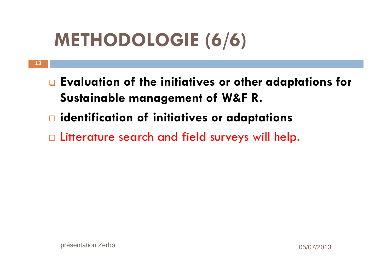# **METHODOLOGIE (6/6)**

- **Evaluation of the initiatives or other adaptations for Sustainable management of W&F R.**
- **identification of initiatives or adaptations**
- $\Box$  Litterature search and field surveys will help.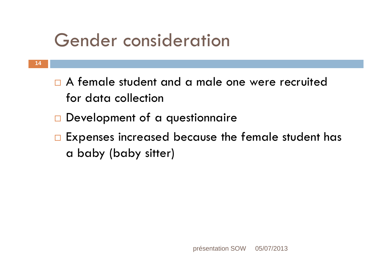### Gender consideration

- $\Box$  A female student and a male one were recruited for data collection
- **Development of a questionnaire**
- $\Box$  Expenses increased because the female student has a baby (baby sitter)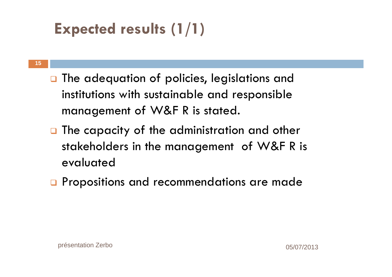### **Expected results (1/1)**

#### **15**

- **Q** The adequation of policies, legislations and institutions with sustainable and responsible management of W&F R is stated.
- **Q** The capacity of the administration and other stakeholders in the management of W&F R is evaluated
- **Q** Propositions and recommendations are made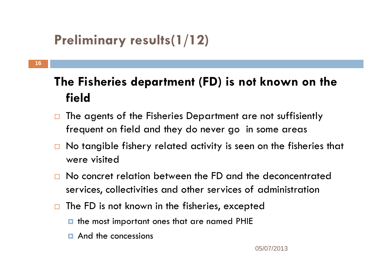### **Preliminary results(1/12)**

#### **The Fisheries department (FD) is not known on the field**

- $\Box$  The agents of the Fisheries Department are not suffisiently frequent on field and they do never go in some areas
- $\Box$  No tangible fishery related activity is seen on the fisheries that were visited
- □ No concret relation between the FD and the deconcentrated services, collectivities and other services of administration
- $\Box$  The FD is not known in the fisheries, excepted
	- $\blacksquare$  the most important ones that are named PHIE
	- **E** And the concessions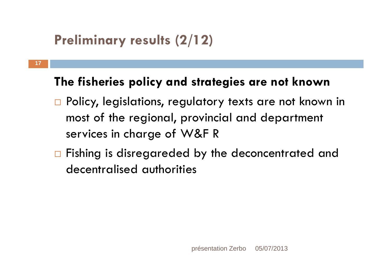#### **Preliminary results (2/12)**

**17**

#### **The fisheries policy and strategies are not known**

- □ Policy, legislations, regulatory texts are not known in most of the regional, provincial and department services in charge of W&F R
- $\Box$  Fishing is disregareded by the deconcentrated and decentralised authorities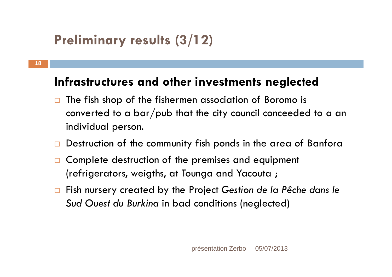#### **Preliminary results (3/12)**

#### **Infrastructures and other investments neglected**

- $\Box$  The fish shop of the fishermen association of Boromo is converted to a bar/pub that the city council conceeded to a an individual person.
- $\Box$ Destruction of the community fish ponds in the area of Banfora
- $\Box$  Complete destruction of the premises and equipment (refrigerators, weigths, at Tounga and Yacouta ;
- Fish nursery created by the Project *Gestion de la Pêche dans le Sud Ouest du Burkina* in bad conditions (neglected)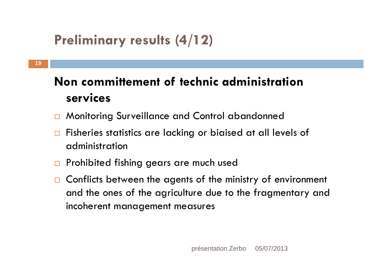### **Preliminary results (4/12)**

#### **Non committement of technic administration services**

- $\Box$ Monitoring Surveillance and Control abandonned
- $\Box$  Fisheries statistics are lacking or biaised at all levels of administration
- $\Box$ Prohibited fishing gears are much used
- $\Box$  Conflicts between the agents of the ministry of environment and the ones of the agriculture due to the fragmentary and incoherent management measures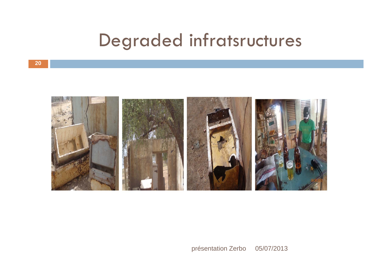### Degraded infratsructures



présentation Zerbo 05/07/2013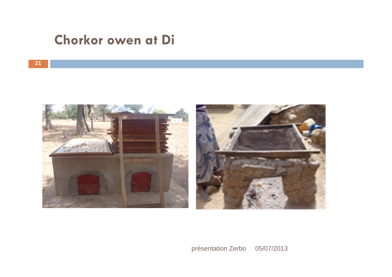#### **Chorkor owen at Di**





présentation Zerbo 05/07/2013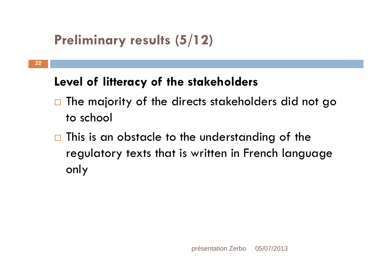#### **Preliminary results (5/12)**

#### **Level of litteracy of the stakeholders**

- $\Box$  The majority of the directs stakeholders did not go to school
- $\Box$  This is an obstacle to the understanding of the regulatory texts that is written in French language only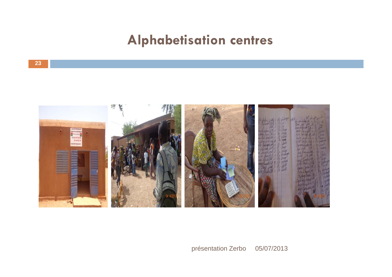#### **Alphabetisation centres**



présentation Zerbo 05/07/2013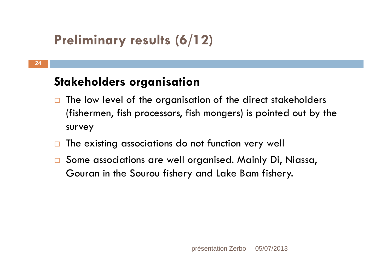### **Preliminary results (6/12)**

#### **Stakeholders organisation**

- $\Box$  The low level of the organisation of the direct stakeholders (fishermen, fish processors, fish mongers) is pointed out by the survey
- $\Box$ The existing associations do not function very well
- $\Box$  Some associations are well organised. Mainly Di, Niassa, Gouran in the Sourou fishery and Lake Bam fishery.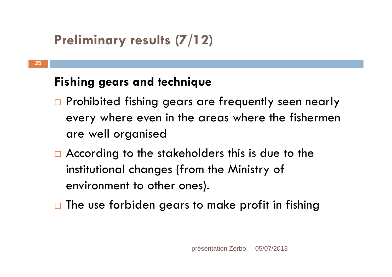### **Preliminary results (7/12)**

#### **Fishing gears and technique**

- $\Box$  Prohibited fishing gears are frequently seen nearly every where even in the areas where the fishermen are well organised
- $\Box$  According to the stakeholders this is due to the institutional changes (from the Ministry of environment to other ones).
- $\Box$  The use forbiden gears to make profit in fishing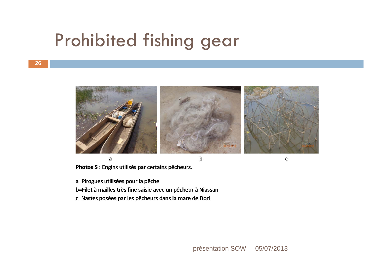### Prohibited fishing gear



 $\overline{a}$ 

 $\mathbf b$ 

Photos 5 : Engins utilisés par certains pêcheurs.

a=Pirogues utilisées pour la pêche b=Filet à mailles très fine saisie avec un pêcheur à Niassan c=Nastes posées par les pêcheurs dans la mare de Dori

présentation SOW 05/07/2013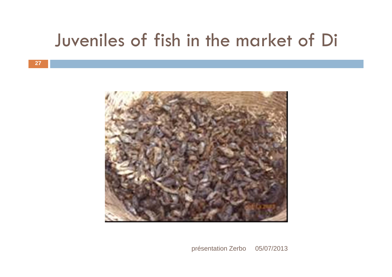### Juveniles of fish in the market of Di



présentation Zerbo 05/07/2013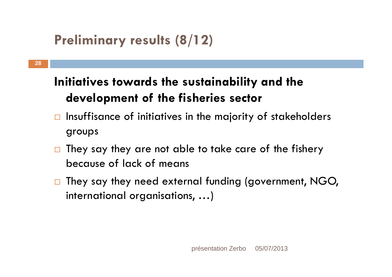#### **Preliminary results (8/12)**

#### **Initiatives towards the sustainability and the development of the fisheries sector**

- $\Box$  Insuffisance of initiatives in the majority of stakeholders groups
- $\Box$  They say they are not able to take care of the fishery because of lack of means
- $\Box$  They say they need external funding (government, NGO, international organisations, …)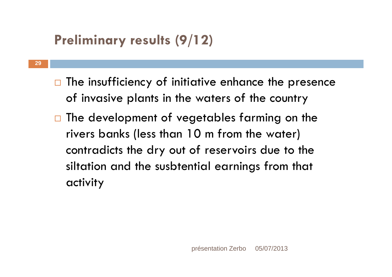### **Preliminary results (9/12)**

**29**

- $\Box$  The insufficiency of initiative enhance the presence of invasive plants in the waters of the country
- $\Box$  The development of vegetables farming on the rivers banks (less than 10 m from the water) contradicts the dry out of reservoirs due to the siltation and the susbtential earnings from that activity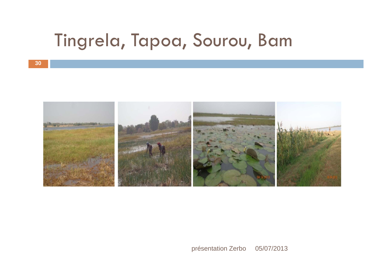### Tingrela, Tapoa, Sourou, Bam



présentation Zerbo 05/07/2013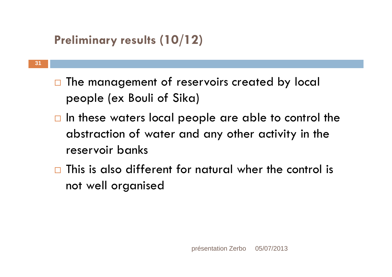#### **Preliminary results (10/12)**

- $\Box$  The management of reservoirs created by local people (ex Bouli of Sika)
	- $\Box$  In these waters local people are able to control the abstraction of water and any other activity in the reservoir banks
	- $\Box$  This is also different for natural wher the control is not well organised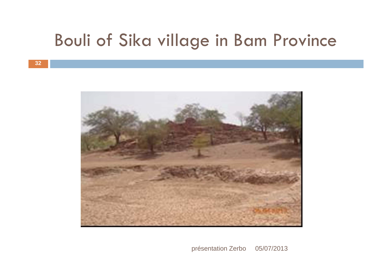### Bouli of Sika village in Bam Province



présentation Zerbo 05/07/2013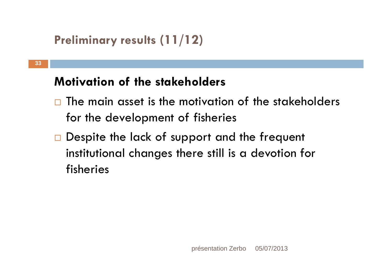```
Preliminary results (11/12)
```
#### **Motivation of the stakeholders**

- $\Box$  The main asset is the motivation of the stakeholders for the development of fisheries
- Despite the lack of support and the frequent institutional changes there still is a devotion for fisheries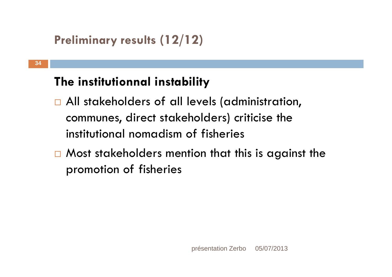```
Preliminary results (12/12)
```
#### **The institutionnal instability**

- □ All stakeholders of all levels (administration, communes, direct stakeholders) criticise the institutional nomadism of fisheries
- $\Box$  Most stakeholders mention that this is against the promotion of fisheries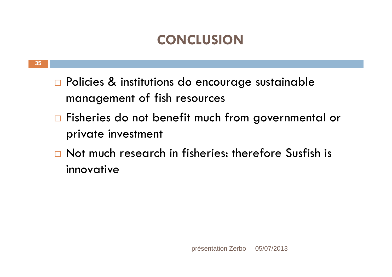#### **CONCLUSION**

- □ Policies & institutions do encourage sustainable management of fish resources
- $\Box$  Fisheries do not benefit much from governmental or private investment
- □ Not much research in fisheries: therefore Susfish is innovative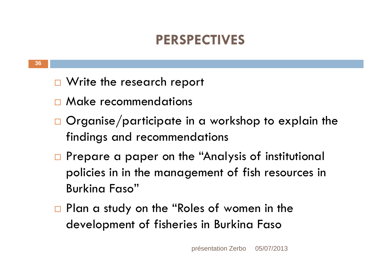#### **PERSPECTIVES**

- □ Write the research report
- **n** Make recommendations
- $\Box$  Organise/participate in a workshop to explain the findings and recommendations
- □ Prepare a paper on the "Analysis of institutional policies in in the management of fish resources in Burkina Faso"
- □ Plan a study on the "Roles of women in the development of fisheries in Burkina Faso